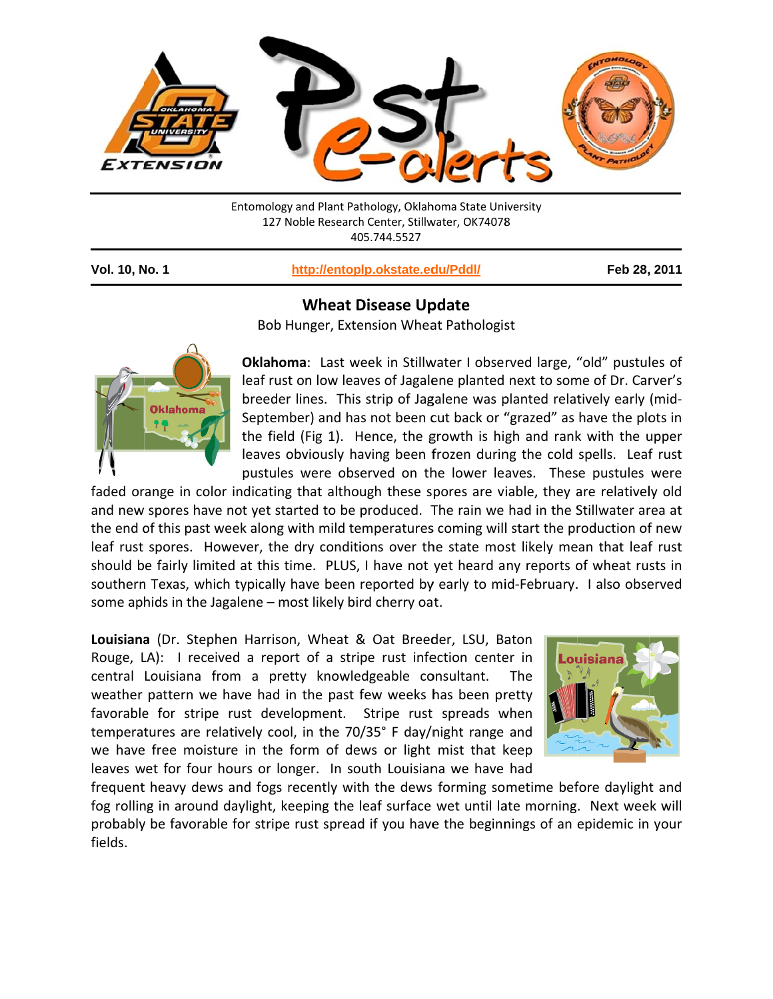

Entomology and Plant Pathology, Oklahoma State University 127 Noble Research Center, Stillwater, OK74078 405.744.5527

Vol. 10, No. 1

http://entoplp.okstate.edu/Pddl/

Feb 28, 2011

## **Wheat Disease Update**

Bob Hunger, Extension Wheat Pathologist



Oklahoma: Last week in Stillwater I observed large, "old" pustules of leaf rust on low leaves of Jagalene planted next to some of Dr. Carver's breeder lines. This strip of Jagalene was planted relatively early (mid-September) and has not been cut back or "grazed" as have the plots in the field (Fig 1). Hence, the growth is high and rank with the upper leaves obviously having been frozen during the cold spells. Leaf rust pustules were observed on the lower leaves. These pustules were

faded orange in color indicating that although these spores are viable, they are relatively old and new spores have not yet started to be produced. The rain we had in the Stillwater area at the end of this past week along with mild temperatures coming will start the production of new leaf rust spores. However, the dry conditions over the state most likely mean that leaf rust should be fairly limited at this time. PLUS, I have not yet heard any reports of wheat rusts in southern Texas, which typically have been reported by early to mid-February. I also observed some aphids in the Jagalene - most likely bird cherry oat.

Louisiana (Dr. Stephen Harrison, Wheat & Oat Breeder, LSU, Baton Rouge, LA): I received a report of a stripe rust infection center in central Louisiana from a pretty knowledgeable consultant. **The** weather pattern we have had in the past few weeks has been pretty favorable for stripe rust development. Stripe rust spreads when temperatures are relatively cool, in the 70/35° F day/night range and we have free moisture in the form of dews or light mist that keep leaves wet for four hours or longer. In south Louisiana we have had



frequent heavy dews and fogs recently with the dews forming sometime before daylight and fog rolling in around daylight, keeping the leaf surface wet until late morning. Next week will probably be favorable for stripe rust spread if you have the beginnings of an epidemic in your fields.